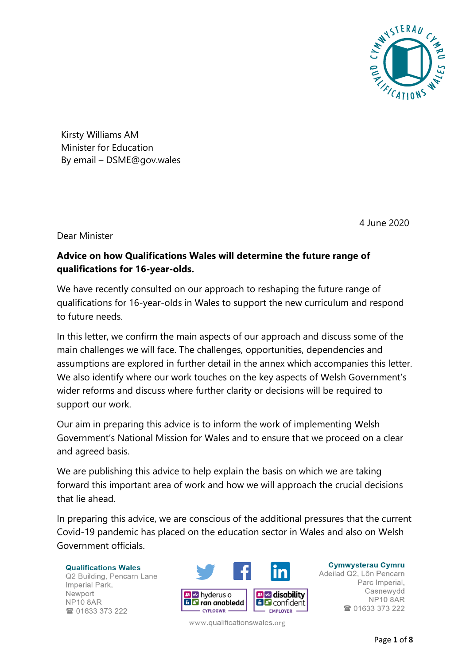

Kirsty Williams AM Minister for Education By email – DSME@gov.wales

4 June 2020

Dear Minister

### **Advice on how Qualifications Wales will determine the future range of qualifications for 16-year-olds.**

We have recently consulted on our approach to reshaping the future range of qualifications for 16-year-olds in Wales to support the new curriculum and respond to future needs.

In this letter, we confirm the main aspects of our approach and discuss some of the main challenges we will face. The challenges, opportunities, dependencies and assumptions are explored in further detail in the annex which accompanies this letter. We also identify where our work touches on the key aspects of Welsh Government's wider reforms and discuss where further clarity or decisions will be required to support our work.

Our aim in preparing this advice is to inform the work of implementing Welsh Government's National Mission for Wales and to ensure that we proceed on a clear and agreed basis.

We are publishing this advice to help explain the basis on which we are taking forward this important area of work and how we will approach the crucial decisions that lie ahead.

In preparing this advice, we are conscious of the additional pressures that the current Covid-19 pandemic has placed on the education sector in Wales and also on Welsh Government officials.

**Qualifications Wales** Q2 Building, Pencarn Lane Imperial Park. Newport NP<sub>10</sub> 8AR 2 01633 373 222



**Cymwysterau Cymru** Adeilad Q2, Lôn Pencarn Parc Imperial, Casnewydd **NP10 8AR** 28 01633 373 222

www.qualificationswales.org

Page **1** of **8**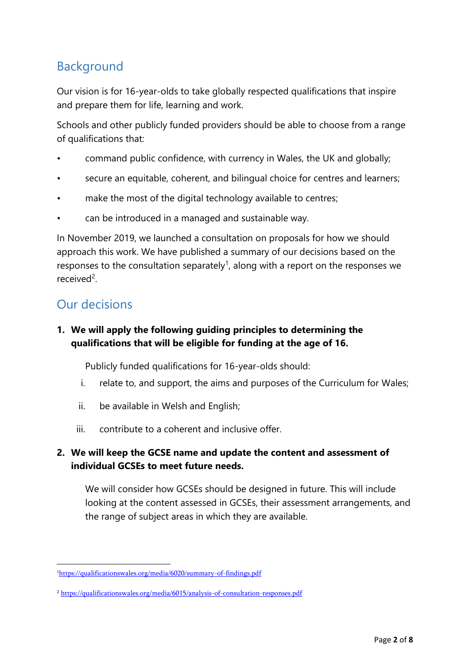# Background

Our vision is for 16-year-olds to take globally respected qualifications that inspire and prepare them for life, learning and work.

Schools and other publicly funded providers should be able to choose from a range of qualifications that:

- command public confidence, with currency in Wales, the UK and globally;
- secure an equitable, coherent, and bilingual choice for centres and learners;
- make the most of the digital technology available to centres;
- can be introduced in a managed and sustainable way.

In November 2019, we launched a consultation on proposals for how we should approach this work. We have published a summary of our decisions based on the responses to the consultation separately<sup>1</sup>, along with a report on the responses we received<sup>2</sup>.

# Our decisions

### **1. We will apply the following guiding principles to determining the qualifications that will be eligible for funding at the age of 16.**

Publicly funded qualifications for 16-year-olds should:

- i. relate to, and support, the aims and purposes of the Curriculum for Wales;
- ii. be available in Welsh and English;
- iii. contribute to a coherent and inclusive offer.

### **2. We will keep the GCSE name and update the content and assessment of individual GCSEs to meet future needs.**

We will consider how GCSEs should be designed in future. This will include looking at the content assessed in GCSEs, their assessment arrangements, and the range of subject areas in which they are available.

<sup>1</sup><https://qualificationswales.org/media/6020/summary-of-findings.pdf>

<sup>2</sup> <https://qualificationswales.org/media/6015/analysis-of-consultation-responses.pdf>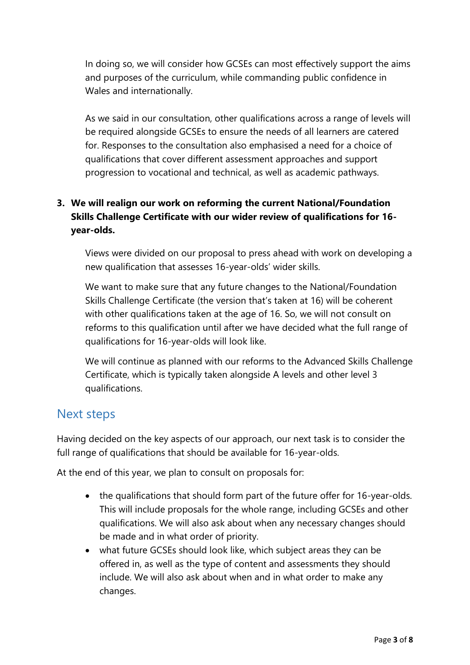In doing so, we will consider how GCSEs can most effectively support the aims and purposes of the curriculum, while commanding public confidence in Wales and internationally.

As we said in our consultation, other qualifications across a range of levels will be required alongside GCSEs to ensure the needs of all learners are catered for. Responses to the consultation also emphasised a need for a choice of qualifications that cover different assessment approaches and support progression to vocational and technical, as well as academic pathways.

### **3. We will realign our work on reforming the current National/Foundation Skills Challenge Certificate with our wider review of qualifications for 16 year-olds.**

Views were divided on our proposal to press ahead with work on developing a new qualification that assesses 16-year-olds' wider skills.

We want to make sure that any future changes to the National/Foundation Skills Challenge Certificate (the version that's taken at 16) will be coherent with other qualifications taken at the age of 16. So, we will not consult on reforms to this qualification until after we have decided what the full range of qualifications for 16-year-olds will look like.

We will continue as planned with our reforms to the Advanced Skills Challenge Certificate, which is typically taken alongside A levels and other level 3 qualifications.

### Next steps

Having decided on the key aspects of our approach, our next task is to consider the full range of qualifications that should be available for 16-year-olds.

At the end of this year, we plan to consult on proposals for:

- the qualifications that should form part of the future offer for 16-year-olds. This will include proposals for the whole range, including GCSEs and other qualifications. We will also ask about when any necessary changes should be made and in what order of priority.
- what future GCSEs should look like, which subject areas they can be offered in, as well as the type of content and assessments they should include. We will also ask about when and in what order to make any changes.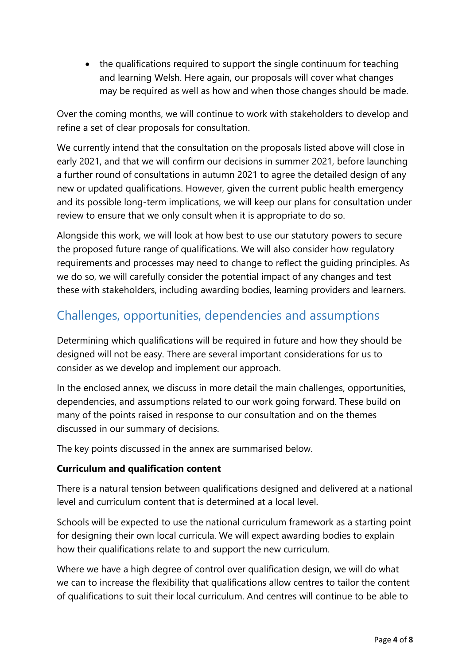• the qualifications required to support the single continuum for teaching and learning Welsh. Here again, our proposals will cover what changes may be required as well as how and when those changes should be made.

Over the coming months, we will continue to work with stakeholders to develop and refine a set of clear proposals for consultation.

We currently intend that the consultation on the proposals listed above will close in early 2021, and that we will confirm our decisions in summer 2021, before launching a further round of consultations in autumn 2021 to agree the detailed design of any new or updated qualifications. However, given the current public health emergency and its possible long-term implications, we will keep our plans for consultation under review to ensure that we only consult when it is appropriate to do so.

Alongside this work, we will look at how best to use our statutory powers to secure the proposed future range of qualifications. We will also consider how regulatory requirements and processes may need to change to reflect the guiding principles. As we do so, we will carefully consider the potential impact of any changes and test these with stakeholders, including awarding bodies, learning providers and learners.

# Challenges, opportunities, dependencies and assumptions

Determining which qualifications will be required in future and how they should be designed will not be easy. There are several important considerations for us to consider as we develop and implement our approach.

In the enclosed annex, we discuss in more detail the main challenges, opportunities, dependencies, and assumptions related to our work going forward. These build on many of the points raised in response to our consultation and on the themes discussed in our summary of decisions.

The key points discussed in the annex are summarised below.

### **Curriculum and qualification content**

There is a natural tension between qualifications designed and delivered at a national level and curriculum content that is determined at a local level.

Schools will be expected to use the national curriculum framework as a starting point for designing their own local curricula. We will expect awarding bodies to explain how their qualifications relate to and support the new curriculum.

Where we have a high degree of control over qualification design, we will do what we can to increase the flexibility that qualifications allow centres to tailor the content of qualifications to suit their local curriculum. And centres will continue to be able to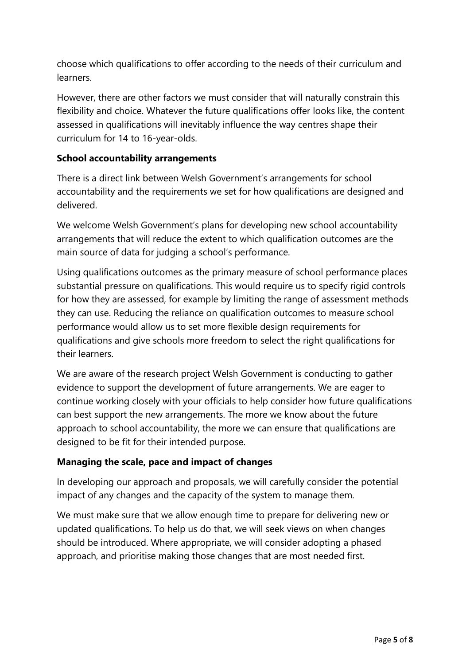choose which qualifications to offer according to the needs of their curriculum and learners.

However, there are other factors we must consider that will naturally constrain this flexibility and choice. Whatever the future qualifications offer looks like, the content assessed in qualifications will inevitably influence the way centres shape their curriculum for 14 to 16-year-olds.

#### **School accountability arrangements**

There is a direct link between Welsh Government's arrangements for school accountability and the requirements we set for how qualifications are designed and delivered.

We welcome Welsh Government's plans for developing new school accountability arrangements that will reduce the extent to which qualification outcomes are the main source of data for judging a school's performance.

Using qualifications outcomes as the primary measure of school performance places substantial pressure on qualifications. This would require us to specify rigid controls for how they are assessed, for example by limiting the range of assessment methods they can use. Reducing the reliance on qualification outcomes to measure school performance would allow us to set more flexible design requirements for qualifications and give schools more freedom to select the right qualifications for their learners.

We are aware of the research project Welsh Government is conducting to gather evidence to support the development of future arrangements. We are eager to continue working closely with your officials to help consider how future qualifications can best support the new arrangements. The more we know about the future approach to school accountability, the more we can ensure that qualifications are designed to be fit for their intended purpose.

#### **Managing the scale, pace and impact of changes**

In developing our approach and proposals, we will carefully consider the potential impact of any changes and the capacity of the system to manage them.

We must make sure that we allow enough time to prepare for delivering new or updated qualifications. To help us do that, we will seek views on when changes should be introduced. Where appropriate, we will consider adopting a phased approach, and prioritise making those changes that are most needed first.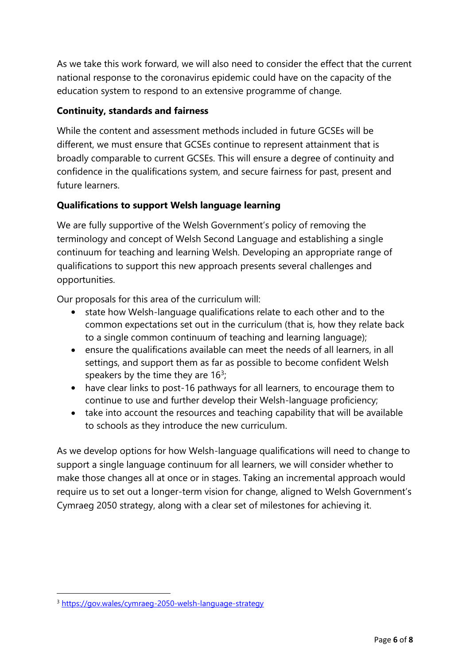As we take this work forward, we will also need to consider the effect that the current national response to the coronavirus epidemic could have on the capacity of the education system to respond to an extensive programme of change.

### **Continuity, standards and fairness**

While the content and assessment methods included in future GCSEs will be different, we must ensure that GCSEs continue to represent attainment that is broadly comparable to current GCSEs. This will ensure a degree of continuity and confidence in the qualifications system, and secure fairness for past, present and future learners.

#### **Qualifications to support Welsh language learning**

We are fully supportive of the Welsh Government's policy of removing the terminology and concept of Welsh Second Language and establishing a single continuum for teaching and learning Welsh. Developing an appropriate range of qualifications to support this new approach presents several challenges and opportunities.

Our proposals for this area of the curriculum will:

- state how Welsh-language qualifications relate to each other and to the common expectations set out in the curriculum (that is, how they relate back to a single common continuum of teaching and learning language);
- ensure the qualifications available can meet the needs of all learners, in all settings, and support them as far as possible to become confident Welsh speakers by the time they are  $16<sup>3</sup>$ ;
- have clear links to post-16 pathways for all learners, to encourage them to continue to use and further develop their Welsh-language proficiency;
- take into account the resources and teaching capability that will be available to schools as they introduce the new curriculum.

As we develop options for how Welsh-language qualifications will need to change to support a single language continuum for all learners, we will consider whether to make those changes all at once or in stages. Taking an incremental approach would require us to set out a longer-term vision for change, aligned to Welsh Government's Cymraeg 2050 strategy, along with a clear set of milestones for achieving it.

<sup>3</sup> <https://gov.wales/cymraeg-2050-welsh-language-strategy>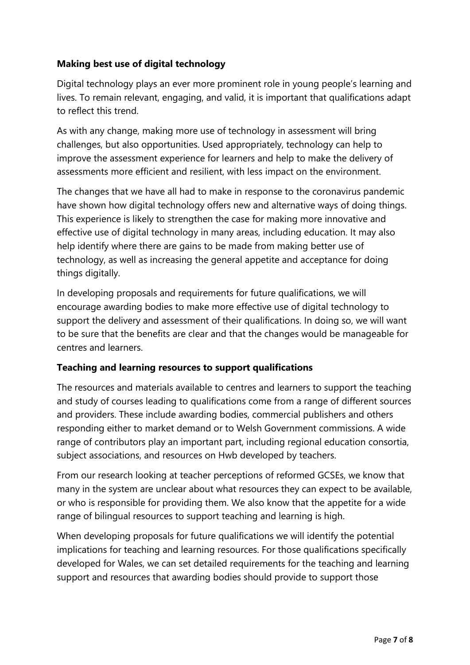#### **Making best use of digital technology**

Digital technology plays an ever more prominent role in young people's learning and lives. To remain relevant, engaging, and valid, it is important that qualifications adapt to reflect this trend.

As with any change, making more use of technology in assessment will bring challenges, but also opportunities. Used appropriately, technology can help to improve the assessment experience for learners and help to make the delivery of assessments more efficient and resilient, with less impact on the environment.

The changes that we have all had to make in response to the coronavirus pandemic have shown how digital technology offers new and alternative ways of doing things. This experience is likely to strengthen the case for making more innovative and effective use of digital technology in many areas, including education. It may also help identify where there are gains to be made from making better use of technology, as well as increasing the general appetite and acceptance for doing things digitally.

In developing proposals and requirements for future qualifications, we will encourage awarding bodies to make more effective use of digital technology to support the delivery and assessment of their qualifications. In doing so, we will want to be sure that the benefits are clear and that the changes would be manageable for centres and learners.

#### **Teaching and learning resources to support qualifications**

The resources and materials available to centres and learners to support the teaching and study of courses leading to qualifications come from a range of different sources and providers. These include awarding bodies, commercial publishers and others responding either to market demand or to Welsh Government commissions. A wide range of contributors play an important part, including regional education consortia, subject associations, and resources on Hwb developed by teachers.

From our research looking at teacher perceptions of reformed GCSEs, we know that many in the system are unclear about what resources they can expect to be available, or who is responsible for providing them. We also know that the appetite for a wide range of bilingual resources to support teaching and learning is high.

When developing proposals for future qualifications we will identify the potential implications for teaching and learning resources. For those qualifications specifically developed for Wales, we can set detailed requirements for the teaching and learning support and resources that awarding bodies should provide to support those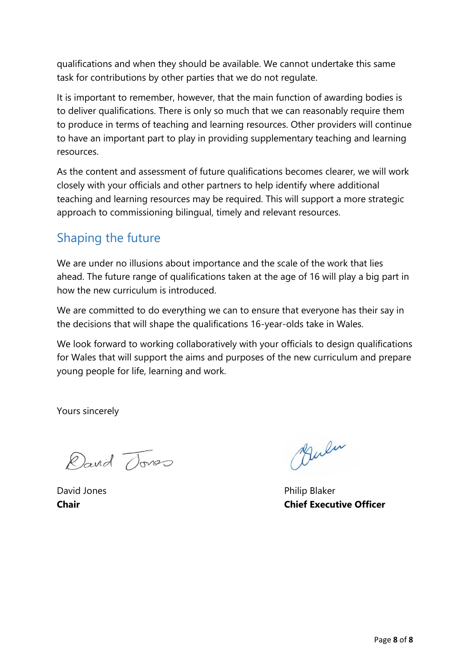qualifications and when they should be available. We cannot undertake this same task for contributions by other parties that we do not regulate.

It is important to remember, however, that the main function of awarding bodies is to deliver qualifications. There is only so much that we can reasonably require them to produce in terms of teaching and learning resources. Other providers will continue to have an important part to play in providing supplementary teaching and learning resources.

As the content and assessment of future qualifications becomes clearer, we will work closely with your officials and other partners to help identify where additional teaching and learning resources may be required. This will support a more strategic approach to commissioning bilingual, timely and relevant resources.

# Shaping the future

We are under no illusions about importance and the scale of the work that lies ahead. The future range of qualifications taken at the age of 16 will play a big part in how the new curriculum is introduced.

We are committed to do everything we can to ensure that everyone has their say in the decisions that will shape the qualifications 16-year-olds take in Wales.

We look forward to working collaboratively with your officials to design qualifications for Wales that will support the aims and purposes of the new curriculum and prepare young people for life, learning and work.

Yours sincerely

David Tones

Bulu

David Jones **Philip Blaker Chair Chief Executive Officer**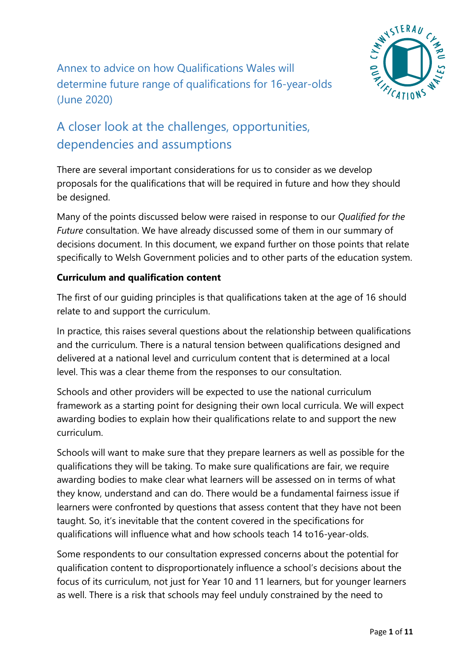

# A closer look at the challenges, opportunities, dependencies and assumptions

There are several important considerations for us to consider as we develop proposals for the qualifications that will be required in future and how they should be designed.

Many of the points discussed below were raised in response to our *Qualified for the Future* consultation. We have already discussed some of them in our summary of decisions document. In this document, we expand further on those points that relate specifically to Welsh Government policies and to other parts of the education system.

#### **Curriculum and qualification content**

The first of our guiding principles is that qualifications taken at the age of 16 should relate to and support the curriculum.

In practice, this raises several questions about the relationship between qualifications and the curriculum. There is a natural tension between qualifications designed and delivered at a national level and curriculum content that is determined at a local level. This was a clear theme from the responses to our consultation.

Schools and other providers will be expected to use the national curriculum framework as a starting point for designing their own local curricula. We will expect awarding bodies to explain how their qualifications relate to and support the new curriculum.

Schools will want to make sure that they prepare learners as well as possible for the qualifications they will be taking. To make sure qualifications are fair, we require awarding bodies to make clear what learners will be assessed on in terms of what they know, understand and can do. There would be a fundamental fairness issue if learners were confronted by questions that assess content that they have not been taught. So, it's inevitable that the content covered in the specifications for qualifications will influence what and how schools teach 14 to16-year-olds.

Some respondents to our consultation expressed concerns about the potential for qualification content to disproportionately influence a school's decisions about the focus of its curriculum, not just for Year 10 and 11 learners, but for younger learners as well. There is a risk that schools may feel unduly constrained by the need to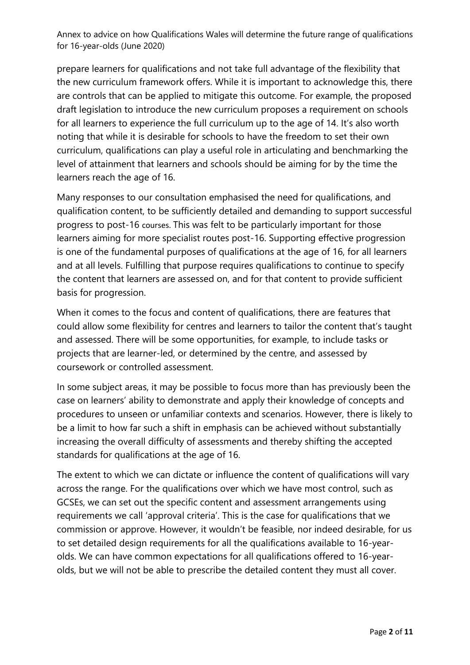prepare learners for qualifications and not take full advantage of the flexibility that the new curriculum framework offers. While it is important to acknowledge this, there are controls that can be applied to mitigate this outcome. For example, the proposed draft legislation to introduce the new curriculum proposes a requirement on schools for all learners to experience the full curriculum up to the age of 14. It's also worth noting that while it is desirable for schools to have the freedom to set their own curriculum, qualifications can play a useful role in articulating and benchmarking the level of attainment that learners and schools should be aiming for by the time the learners reach the age of 16.

Many responses to our consultation emphasised the need for qualifications, and qualification content, to be sufficiently detailed and demanding to support successful progress to post-16 courses. This was felt to be particularly important for those learners aiming for more specialist routes post-16. Supporting effective progression is one of the fundamental purposes of qualifications at the age of 16, for all learners and at all levels. Fulfilling that purpose requires qualifications to continue to specify the content that learners are assessed on, and for that content to provide sufficient basis for progression.

When it comes to the focus and content of qualifications, there are features that could allow some flexibility for centres and learners to tailor the content that's taught and assessed. There will be some opportunities, for example, to include tasks or projects that are learner-led, or determined by the centre, and assessed by coursework or controlled assessment.

In some subject areas, it may be possible to focus more than has previously been the case on learners' ability to demonstrate and apply their knowledge of concepts and procedures to unseen or unfamiliar contexts and scenarios. However, there is likely to be a limit to how far such a shift in emphasis can be achieved without substantially increasing the overall difficulty of assessments and thereby shifting the accepted standards for qualifications at the age of 16.

The extent to which we can dictate or influence the content of qualifications will vary across the range. For the qualifications over which we have most control, such as GCSEs, we can set out the specific content and assessment arrangements using requirements we call 'approval criteria'. This is the case for qualifications that we commission or approve. However, it wouldn't be feasible, nor indeed desirable, for us to set detailed design requirements for all the qualifications available to 16-yearolds. We can have common expectations for all qualifications offered to 16-yearolds, but we will not be able to prescribe the detailed content they must all cover.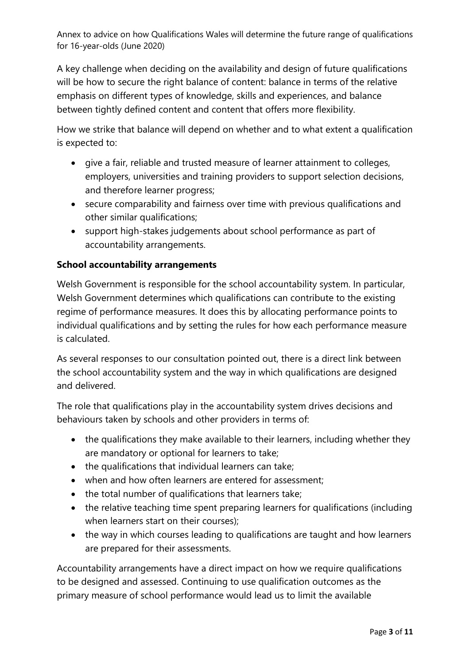A key challenge when deciding on the availability and design of future qualifications will be how to secure the right balance of content: balance in terms of the relative emphasis on different types of knowledge, skills and experiences, and balance between tightly defined content and content that offers more flexibility.

How we strike that balance will depend on whether and to what extent a qualification is expected to:

- give a fair, reliable and trusted measure of learner attainment to colleges, employers, universities and training providers to support selection decisions, and therefore learner progress;
- secure comparability and fairness over time with previous qualifications and other similar qualifications;
- support high-stakes judgements about school performance as part of accountability arrangements.

#### **School accountability arrangements**

Welsh Government is responsible for the school accountability system. In particular, Welsh Government determines which qualifications can contribute to the existing regime of performance measures. It does this by allocating performance points to individual qualifications and by setting the rules for how each performance measure is calculated.

As several responses to our consultation pointed out, there is a direct link between the school accountability system and the way in which qualifications are designed and delivered.

The role that qualifications play in the accountability system drives decisions and behaviours taken by schools and other providers in terms of:

- the qualifications they make available to their learners, including whether they are mandatory or optional for learners to take;
- the qualifications that individual learners can take;
- when and how often learners are entered for assessment;
- the total number of qualifications that learners take;
- the relative teaching time spent preparing learners for qualifications (including when learners start on their courses);
- the way in which courses leading to qualifications are taught and how learners are prepared for their assessments.

Accountability arrangements have a direct impact on how we require qualifications to be designed and assessed. Continuing to use qualification outcomes as the primary measure of school performance would lead us to limit the available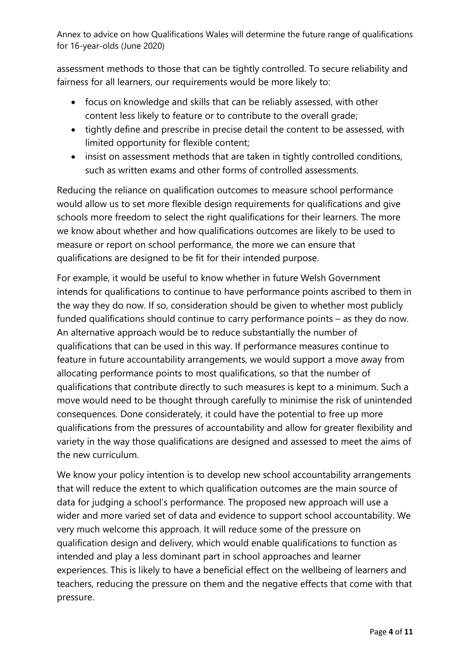assessment methods to those that can be tightly controlled. To secure reliability and fairness for all learners, our requirements would be more likely to:

- focus on knowledge and skills that can be reliably assessed, with other content less likely to feature or to contribute to the overall grade;
- tightly define and prescribe in precise detail the content to be assessed, with limited opportunity for flexible content;
- insist on assessment methods that are taken in tightly controlled conditions, such as written exams and other forms of controlled assessments.

Reducing the reliance on qualification outcomes to measure school performance would allow us to set more flexible design requirements for qualifications and give schools more freedom to select the right qualifications for their learners. The more we know about whether and how qualifications outcomes are likely to be used to measure or report on school performance, the more we can ensure that qualifications are designed to be fit for their intended purpose.

For example, it would be useful to know whether in future Welsh Government intends for qualifications to continue to have performance points ascribed to them in the way they do now. If so, consideration should be given to whether most publicly funded qualifications should continue to carry performance points – as they do now. An alternative approach would be to reduce substantially the number of qualifications that can be used in this way. If performance measures continue to feature in future accountability arrangements, we would support a move away from allocating performance points to most qualifications, so that the number of qualifications that contribute directly to such measures is kept to a minimum. Such a move would need to be thought through carefully to minimise the risk of unintended consequences. Done considerately, it could have the potential to free up more qualifications from the pressures of accountability and allow for greater flexibility and variety in the way those qualifications are designed and assessed to meet the aims of the new curriculum.

We know your policy intention is to develop new school accountability arrangements that will reduce the extent to which qualification outcomes are the main source of data for judging a school's performance. The proposed new approach will use a wider and more varied set of data and evidence to support school accountability. We very much welcome this approach. It will reduce some of the pressure on qualification design and delivery, which would enable qualifications to function as intended and play a less dominant part in school approaches and learner experiences. This is likely to have a beneficial effect on the wellbeing of learners and teachers, reducing the pressure on them and the negative effects that come with that pressure.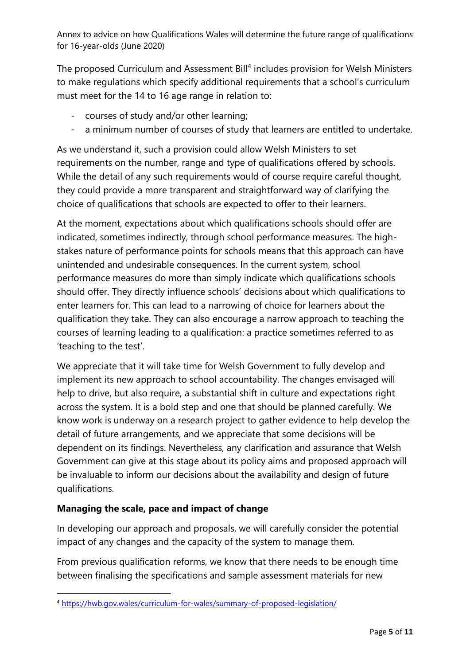The proposed Curriculum and Assessment Bill<sup>4</sup> includes provision for Welsh Ministers to make regulations which specify additional requirements that a school's curriculum must meet for the 14 to 16 age range in relation to:

- courses of study and/or other learning;
- a minimum number of courses of study that learners are entitled to undertake.

As we understand it, such a provision could allow Welsh Ministers to set requirements on the number, range and type of qualifications offered by schools. While the detail of any such requirements would of course require careful thought, they could provide a more transparent and straightforward way of clarifying the choice of qualifications that schools are expected to offer to their learners.

At the moment, expectations about which qualifications schools should offer are indicated, sometimes indirectly, through school performance measures. The highstakes nature of performance points for schools means that this approach can have unintended and undesirable consequences. In the current system, school performance measures do more than simply indicate which qualifications schools should offer. They directly influence schools' decisions about which qualifications to enter learners for. This can lead to a narrowing of choice for learners about the qualification they take. They can also encourage a narrow approach to teaching the courses of learning leading to a qualification: a practice sometimes referred to as 'teaching to the test'.

We appreciate that it will take time for Welsh Government to fully develop and implement its new approach to school accountability. The changes envisaged will help to drive, but also require, a substantial shift in culture and expectations right across the system. It is a bold step and one that should be planned carefully. We know work is underway on a research project to gather evidence to help develop the detail of future arrangements, and we appreciate that some decisions will be dependent on its findings. Nevertheless, any clarification and assurance that Welsh Government can give at this stage about its policy aims and proposed approach will be invaluable to inform our decisions about the availability and design of future qualifications.

### **Managing the scale, pace and impact of change**

In developing our approach and proposals, we will carefully consider the potential impact of any changes and the capacity of the system to manage them.

From previous qualification reforms, we know that there needs to be enough time between finalising the specifications and sample assessment materials for new

<sup>4</sup> <https://hwb.gov.wales/curriculum-for-wales/summary-of-proposed-legislation/>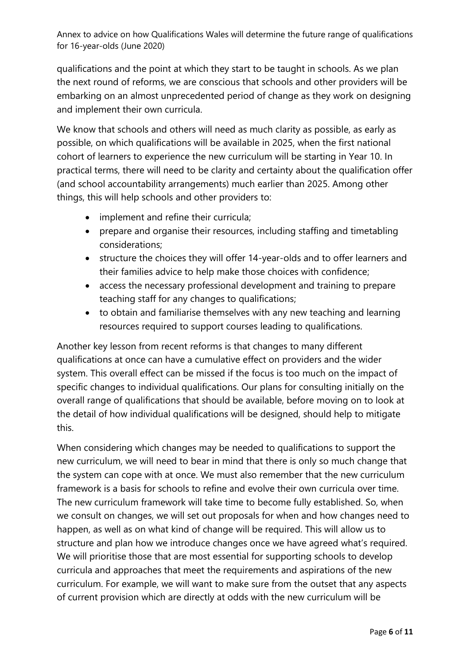qualifications and the point at which they start to be taught in schools. As we plan the next round of reforms, we are conscious that schools and other providers will be embarking on an almost unprecedented period of change as they work on designing and implement their own curricula.

We know that schools and others will need as much clarity as possible, as early as possible, on which qualifications will be available in 2025, when the first national cohort of learners to experience the new curriculum will be starting in Year 10. In practical terms, there will need to be clarity and certainty about the qualification offer (and school accountability arrangements) much earlier than 2025. Among other things, this will help schools and other providers to:

- implement and refine their curricula;
- prepare and organise their resources, including staffing and timetabling considerations;
- structure the choices they will offer 14-year-olds and to offer learners and their families advice to help make those choices with confidence;
- access the necessary professional development and training to prepare teaching staff for any changes to qualifications;
- to obtain and familiarise themselves with any new teaching and learning resources required to support courses leading to qualifications.

Another key lesson from recent reforms is that changes to many different qualifications at once can have a cumulative effect on providers and the wider system. This overall effect can be missed if the focus is too much on the impact of specific changes to individual qualifications. Our plans for consulting initially on the overall range of qualifications that should be available, before moving on to look at the detail of how individual qualifications will be designed, should help to mitigate this.

When considering which changes may be needed to qualifications to support the new curriculum, we will need to bear in mind that there is only so much change that the system can cope with at once. We must also remember that the new curriculum framework is a basis for schools to refine and evolve their own curricula over time. The new curriculum framework will take time to become fully established. So, when we consult on changes, we will set out proposals for when and how changes need to happen, as well as on what kind of change will be required. This will allow us to structure and plan how we introduce changes once we have agreed what's required. We will prioritise those that are most essential for supporting schools to develop curricula and approaches that meet the requirements and aspirations of the new curriculum. For example, we will want to make sure from the outset that any aspects of current provision which are directly at odds with the new curriculum will be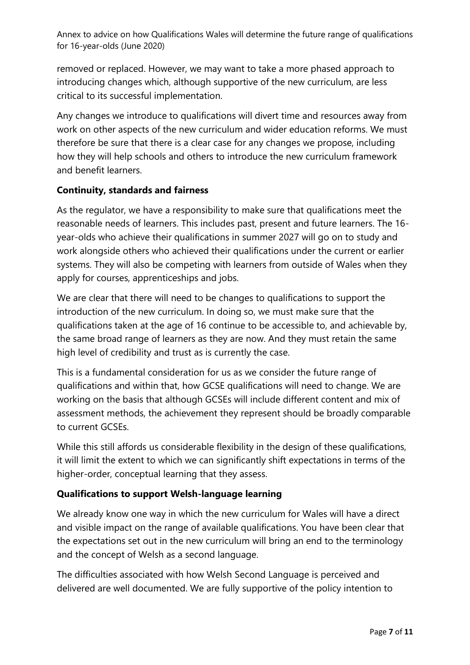removed or replaced. However, we may want to take a more phased approach to introducing changes which, although supportive of the new curriculum, are less critical to its successful implementation.

Any changes we introduce to qualifications will divert time and resources away from work on other aspects of the new curriculum and wider education reforms. We must therefore be sure that there is a clear case for any changes we propose, including how they will help schools and others to introduce the new curriculum framework and benefit learners.

#### **Continuity, standards and fairness**

As the regulator, we have a responsibility to make sure that qualifications meet the reasonable needs of learners. This includes past, present and future learners. The 16 year-olds who achieve their qualifications in summer 2027 will go on to study and work alongside others who achieved their qualifications under the current or earlier systems. They will also be competing with learners from outside of Wales when they apply for courses, apprenticeships and jobs.

We are clear that there will need to be changes to qualifications to support the introduction of the new curriculum. In doing so, we must make sure that the qualifications taken at the age of 16 continue to be accessible to, and achievable by, the same broad range of learners as they are now. And they must retain the same high level of credibility and trust as is currently the case.

This is a fundamental consideration for us as we consider the future range of qualifications and within that, how GCSE qualifications will need to change. We are working on the basis that although GCSEs will include different content and mix of assessment methods, the achievement they represent should be broadly comparable to current GCSEs.

While this still affords us considerable flexibility in the design of these qualifications, it will limit the extent to which we can significantly shift expectations in terms of the higher-order, conceptual learning that they assess.

### **Qualifications to support Welsh-language learning**

We already know one way in which the new curriculum for Wales will have a direct and visible impact on the range of available qualifications. You have been clear that the expectations set out in the new curriculum will bring an end to the terminology and the concept of Welsh as a second language.

The difficulties associated with how Welsh Second Language is perceived and delivered are well documented. We are fully supportive of the policy intention to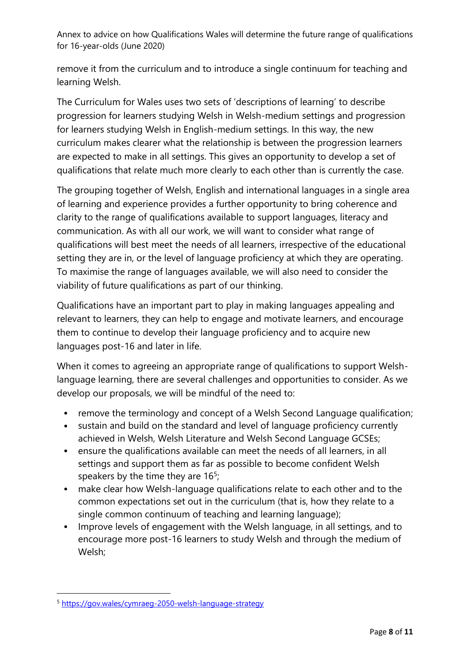remove it from the curriculum and to introduce a single continuum for teaching and learning Welsh.

The Curriculum for Wales uses two sets of 'descriptions of learning' to describe progression for learners studying Welsh in Welsh-medium settings and progression for learners studying Welsh in English-medium settings. In this way, the new curriculum makes clearer what the relationship is between the progression learners are expected to make in all settings. This gives an opportunity to develop a set of qualifications that relate much more clearly to each other than is currently the case.

The grouping together of Welsh, English and international languages in a single area of learning and experience provides a further opportunity to bring coherence and clarity to the range of qualifications available to support languages, literacy and communication. As with all our work, we will want to consider what range of qualifications will best meet the needs of all learners, irrespective of the educational setting they are in, or the level of language proficiency at which they are operating. To maximise the range of languages available, we will also need to consider the viability of future qualifications as part of our thinking.

Qualifications have an important part to play in making languages appealing and relevant to learners, they can help to engage and motivate learners, and encourage them to continue to develop their language proficiency and to acquire new languages post-16 and later in life.

When it comes to agreeing an appropriate range of qualifications to support Welshlanguage learning, there are several challenges and opportunities to consider. As we develop our proposals, we will be mindful of the need to:

- remove the terminology and concept of a Welsh Second Language qualification;
- sustain and build on the standard and level of language proficiency currently achieved in Welsh, Welsh Literature and Welsh Second Language GCSEs;
- ensure the qualifications available can meet the needs of all learners, in all settings and support them as far as possible to become confident Welsh speakers by the time they are  $16<sup>5</sup>$ ;
- make clear how Welsh-language qualifications relate to each other and to the common expectations set out in the curriculum (that is, how they relate to a single common continuum of teaching and learning language);
- Improve levels of engagement with the Welsh language, in all settings, and to encourage more post-16 learners to study Welsh and through the medium of Welsh;

<sup>5</sup> <https://gov.wales/cymraeg-2050-welsh-language-strategy>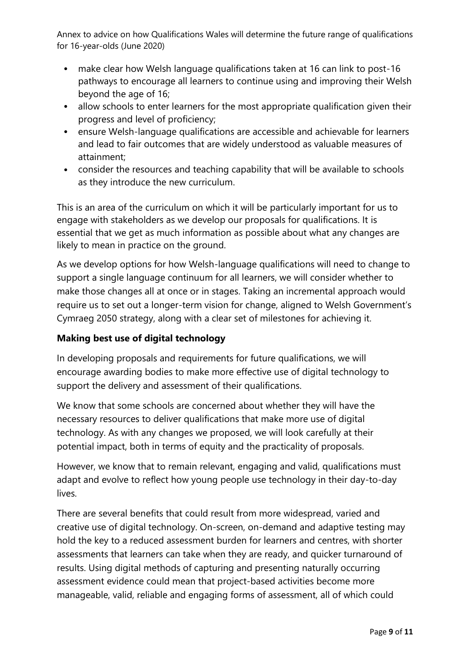- make clear how Welsh language qualifications taken at 16 can link to post-16 pathways to encourage all learners to continue using and improving their Welsh beyond the age of 16;
- allow schools to enter learners for the most appropriate qualification given their progress and level of proficiency;
- ensure Welsh-language qualifications are accessible and achievable for learners and lead to fair outcomes that are widely understood as valuable measures of attainment;
- consider the resources and teaching capability that will be available to schools as they introduce the new curriculum.

This is an area of the curriculum on which it will be particularly important for us to engage with stakeholders as we develop our proposals for qualifications. It is essential that we get as much information as possible about what any changes are likely to mean in practice on the ground.

As we develop options for how Welsh-language qualifications will need to change to support a single language continuum for all learners, we will consider whether to make those changes all at once or in stages. Taking an incremental approach would require us to set out a longer-term vision for change, aligned to Welsh Government's Cymraeg 2050 strategy, along with a clear set of milestones for achieving it.

### **Making best use of digital technology**

In developing proposals and requirements for future qualifications, we will encourage awarding bodies to make more effective use of digital technology to support the delivery and assessment of their qualifications.

We know that some schools are concerned about whether they will have the necessary resources to deliver qualifications that make more use of digital technology. As with any changes we proposed, we will look carefully at their potential impact, both in terms of equity and the practicality of proposals.

However, we know that to remain relevant, engaging and valid, qualifications must adapt and evolve to reflect how young people use technology in their day-to-day lives.

There are several benefits that could result from more widespread, varied and creative use of digital technology. On-screen, on-demand and adaptive testing may hold the key to a reduced assessment burden for learners and centres, with shorter assessments that learners can take when they are ready, and quicker turnaround of results. Using digital methods of capturing and presenting naturally occurring assessment evidence could mean that project-based activities become more manageable, valid, reliable and engaging forms of assessment, all of which could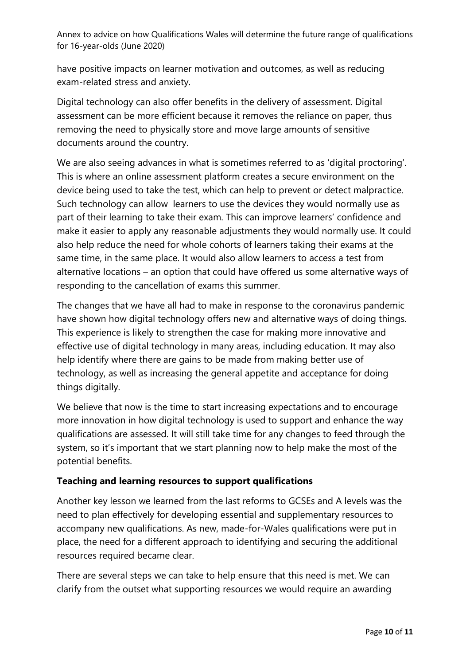have positive impacts on learner motivation and outcomes, as well as reducing exam-related stress and anxiety.

Digital technology can also offer benefits in the delivery of assessment. Digital assessment can be more efficient because it removes the reliance on paper, thus removing the need to physically store and move large amounts of sensitive documents around the country.

We are also seeing advances in what is sometimes referred to as 'digital proctoring'. This is where an online assessment platform creates a secure environment on the device being used to take the test, which can help to prevent or detect malpractice. Such technology can allow learners to use the devices they would normally use as part of their learning to take their exam. This can improve learners' confidence and make it easier to apply any reasonable adjustments they would normally use. It could also help reduce the need for whole cohorts of learners taking their exams at the same time, in the same place. It would also allow learners to access a test from alternative locations – an option that could have offered us some alternative ways of responding to the cancellation of exams this summer.

The changes that we have all had to make in response to the coronavirus pandemic have shown how digital technology offers new and alternative ways of doing things. This experience is likely to strengthen the case for making more innovative and effective use of digital technology in many areas, including education. It may also help identify where there are gains to be made from making better use of technology, as well as increasing the general appetite and acceptance for doing things digitally.

We believe that now is the time to start increasing expectations and to encourage more innovation in how digital technology is used to support and enhance the way qualifications are assessed. It will still take time for any changes to feed through the system, so it's important that we start planning now to help make the most of the potential benefits.

#### **Teaching and learning resources to support qualifications**

Another key lesson we learned from the last reforms to GCSEs and A levels was the need to plan effectively for developing essential and supplementary resources to accompany new qualifications. As new, made-for-Wales qualifications were put in place, the need for a different approach to identifying and securing the additional resources required became clear.

There are several steps we can take to help ensure that this need is met. We can clarify from the outset what supporting resources we would require an awarding